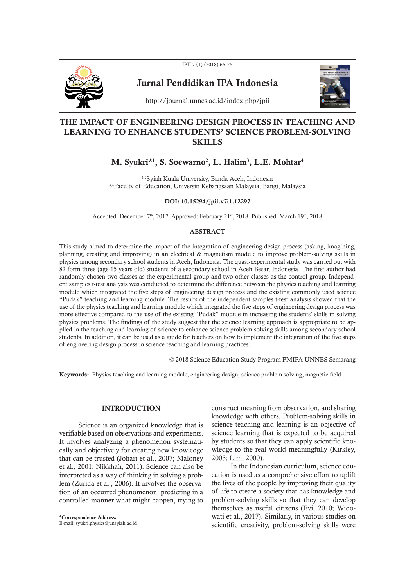



Jurnal Pendidikan IPA Indonesia



http://journal.unnes.ac.id/index.php/jpii

# THE IMPACT OF ENGINEERING DESIGN PROCESS IN TEACHING AND LEARNING TO ENHANCE STUDENTS' SCIENCE PROBLEM-SOLVING **SKILLS**

# M. Syukri\*<sup>1</sup>, S. Soewarno<sup>2</sup>, L. Halim<sup>3</sup>, L.E. Mohtar<sup>4</sup>

1,2Syiah Kuala University, Banda Aceh, Indonesia 3,4Faculty of Education, Universiti Kebangsaan Malaysia, Bangi, Malaysia

#### DOI: 10.15294/jpii.v7i1.12297

Accepted: December 7<sup>th</sup>, 2017. Approved: February 21<sup>st</sup>, 2018. Published: March 19<sup>th</sup>, 2018

### ABSTRACT

This study aimed to determine the impact of the integration of engineering design process (asking, imagining, planning, creating and improving) in an electrical & magnetism module to improve problem-solving skills in physics among secondary school students in Aceh, Indonesia. The quasi-experimental study was carried out with 82 form three (age 15 years old) students of a secondary school in Aceh Besar, Indonesia. The first author had randomly chosen two classes as the experimental group and two other classes as the control group. Independent samples t-test analysis was conducted to determine the difference between the physics teaching and learning module which integrated the five steps of engineering design process and the existing commonly used science "Pudak" teaching and learning module. The results of the independent samples t-test analysis showed that the use of the physics teaching and learning module which integrated the five steps of engineering design process was more effective compared to the use of the existing "Pudak" module in increasing the students' skills in solving physics problems. The findings of the study suggest that the science learning approach is appropriate to be applied in the teaching and learning of science to enhance science problem-solving skills among secondary school students. In addition, it can be used as a guide for teachers on how to implement the integration of the five steps of engineering design process in science teaching and learning practices.

© 2018 Science Education Study Program FMIPA UNNES Semarang

Keywords: Physics teaching and learning module, engineering design, science problem solving, magnetic field

#### **INTRODUCTION**

Science is an organized knowledge that is verifiable based on observations and experiments. It involves analyzing a phenomenon systematically and objectively for creating new knowledge that can be trusted (Johari et al., 2007; Maloney et al., 2001; Nikkhah, 2011). Science can also be interpreted as a way of thinking in solving a problem (Zurida et al., 2006). It involves the observation of an occurred phenomenon, predicting in a controlled manner what might happen, trying to

\*Correspondence Address: E-mail: syukri.physics@unsyiah.ac.id construct meaning from observation, and sharing knowledge with others. Problem-solving skills in science teaching and learning is an objective of science learning that is expected to be acquired by students so that they can apply scientific knowledge to the real world meaningfully (Kirkley, 2003; Lim, 2000).

In the Indonesian curriculum, science education is used as a comprehensive effort to uplift the lives of the people by improving their quality of life to create a society that has knowledge and problem-solving skills so that they can develop themselves as useful citizens (Evi, 2010; Widowati et al., 2017). Similarly, in various studies on scientific creativity, problem-solving skills were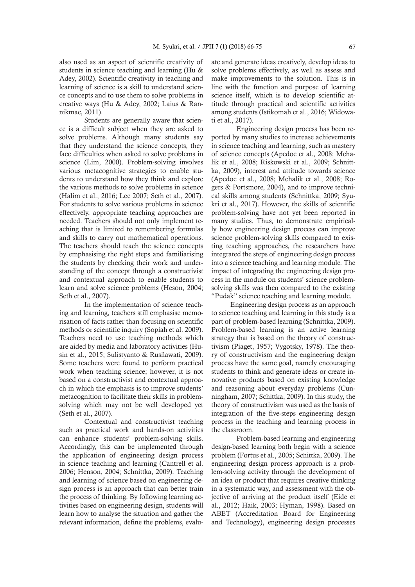also used as an aspect of scientific creativity of students in science teaching and learning (Hu & Adey, 2002). Scientific creativity in teaching and learning of science is a skill to understand science concepts and to use them to solve problems in creative ways (Hu & Adey, 2002; Laius & Rannikmae, 2011).

 Students are generally aware that science is a difficult subject when they are asked to solve problems. Although many students say that they understand the science concepts, they face difficulties when asked to solve problems in science (Lim, 2000). Problem-solving involves various metacognitive strategies to enable students to understand how they think and explore the various methods to solve problems in science (Halim et al., 2016; Lee 2007; Seth et al., 2007). For students to solve various problems in science effectively, appropriate teaching approaches are needed. Teachers should not only implement teaching that is limited to remembering formulas and skills to carry out mathematical operations. The teachers should teach the science concepts by emphasising the right steps and familiarising the students by checking their work and understanding of the concept through a constructivist and contextual approach to enable students to learn and solve science problems (Heson, 2004; Seth et al., 2007).

 In the implementation of science teaching and learning, teachers still emphasise memorisation of facts rather than focusing on scientific methods or scientific inquiry (Sopiah et al. 2009). Teachers need to use teaching methods which are aided by media and laboratory activities (Husin et al., 2015; Sulistyanto & Rusilawati, 2009). Some teachers were found to perform practical work when teaching science; however, it is not based on a constructivist and contextual approach in which the emphasis is to improve students' metacognition to facilitate their skills in problemsolving which may not be well developed yet (Seth et al., 2007).

 Contextual and constructivist teaching such as practical work and hands-on activities can enhance students' problem-solving skills. Accordingly, this can be implemented through the application of engineering design process in science teaching and learning (Cantrell et al. 2006; Henson, 2004; Schnittka, 2009). Teaching and learning of science based on engineering design process is an approach that can better train the process of thinking. By following learning activities based on engineering design, students will learn how to analyse the situation and gather the relevant information, define the problems, evaluate and generate ideas creatively, develop ideas to solve problems effectively, as well as assess and make improvements to the solution. This is in line with the function and purpose of learning science itself, which is to develop scientific attitude through practical and scientific activities among students (Istikomah et al., 2016; Widowati et al., 2017).

 Engineering design process has been reported by many studies to increase achievements in science teaching and learning, such as mastery of science concepts (Apedoe et al., 2008; Mehalik et al., 2008; Riskowski et al., 2009; Schnittka, 2009), interest and attitude towards science (Apedoe et al., 2008; Mehalik et al., 2008; Rogers & Portsmore, 2004), and to improve technical skills among students (Schnittka, 2009; Syukri et al., 2017). However, the skills of scientific problem-solving have not yet been reported in many studies. Thus, to demonstrate empirically how engineering design process can improve science problem-solving skills compared to existing teaching approaches, the researchers have integrated the steps of engineering design process into a science teaching and learning module. The impact of integrating the engineering design process in the module on students' science problemsolving skills was then compared to the existing "Pudak" science teaching and learning module.

Engineering design process as an approach to science teaching and learning in this study is a part of problem-based learning (Schnittka, 2009). Problem-based learning is an active learning strategy that is based on the theory of constructivism (Piaget, 1957; Vygotsky, 1978). The theory of constructivism and the engineering design process have the same goal, namely encouraging students to think and generate ideas or create innovative products based on existing knowledge and reasoning about everyday problems (Cunningham, 2007; Schittka, 2009). In this study, the theory of constructivism was used as the basis of integration of the five-steps engineering design process in the teaching and learning process in the classroom.

 Problem-based learning and engineering design-based learning both begin with a science problem (Fortus et al., 2005; Schittka, 2009). The engineering design process approach is a problem-solving activity through the development of an idea or product that requires creative thinking in a systematic way, and assessment with the objective of arriving at the product itself (Eide et al., 2012; Haik, 2003; Hyman, 1998). Based on ABET (Accreditation Board for Engineering and Technology), engineering design processes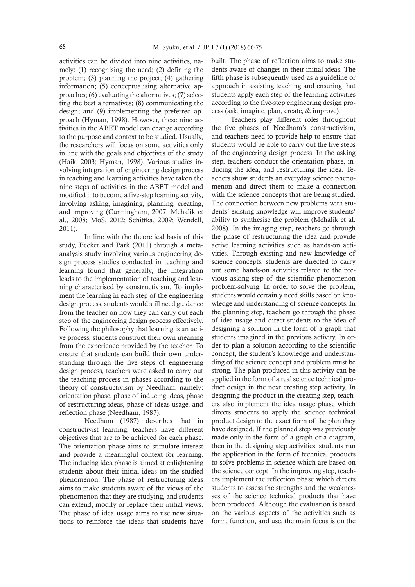activities can be divided into nine activities, namely: (1) recognising the need; (2) defining the problem; (3) planning the project; (4) gathering information; (5) conceptualising alternative approaches; (6) evaluating the alternatives; (7) selecting the best alternatives; (8) communicating the design; and (9) implementing the preferred approach (Hyman, 1998). However, these nine activities in the ABET model can change according to the purpose and context to be studied. Usually, the researchers will focus on some activities only in line with the goals and objectives of the study (Haik, 2003; Hyman, 1998). Various studies involving integration of engineering design process in teaching and learning activities have taken the nine steps of activities in the ABET model and modified it to become a five-step learning activity, involving asking, imagining, planning, creating, and improving (Cunningham, 2007; Mehalik et al., 2008; MoS, 2012; Schittka, 2009; Wendell, 2011).

 In line with the theoretical basis of this study, Becker and Park (2011) through a metaanalysis study involving various engineering design process studies conducted in teaching and learning found that generally, the integration leads to the implementation of teaching and learning characterised by constructivism. To implement the learning in each step of the engineering design process, students would still need guidance from the teacher on how they can carry out each step of the engineering design process effectively. Following the philosophy that learning is an active process, students construct their own meaning from the experience provided by the teacher. To ensure that students can build their own understanding through the five steps of engineering design process, teachers were asked to carry out the teaching process in phases according to the theory of constructivism by Needham, namely: orientation phase, phase of inducing ideas, phase of restructuring ideas, phase of ideas usage, and reflection phase (Needham, 1987).

 Needham (1987) describes that in constructivist learning, teachers have different objectives that are to be achieved for each phase. The orientation phase aims to stimulate interest and provide a meaningful context for learning. The inducing idea phase is aimed at enlightening students about their initial ideas on the studied phenomenon. The phase of restructuring ideas aims to make students aware of the views of the phenomenon that they are studying, and students can extend, modify or replace their initial views. The phase of idea usage aims to use new situations to reinforce the ideas that students have

built. The phase of reflection aims to make students aware of changes in their initial ideas. The fifth phase is subsequently used as a guideline or approach in assisting teaching and ensuring that students apply each step of the learning activities according to the five-step engineering design process (ask, imagine, plan, create, & improve).

Teachers play different roles throughout the five phases of Needham's constructivism, and teachers need to provide help to ensure that students would be able to carry out the five steps of the engineering design process. In the asking step, teachers conduct the orientation phase, inducing the idea, and restructuring the idea. Teachers show students an everyday science phenomenon and direct them to make a connection with the science concepts that are being studied. The connection between new problems with students' existing knowledge will improve students' ability to synthesise the problem (Mehalik et al. 2008). In the imaging step, teachers go through the phase of restructuring the idea and provide active learning activities such as hands-on activities. Through existing and new knowledge of science concepts, students are directed to carry out some hands-on activities related to the previous asking step of the scientific phenomenon problem-solving. In order to solve the problem, students would certainly need skills based on knowledge and understanding of science concepts. In the planning step, teachers go through the phase of idea usage and direct students to the idea of designing a solution in the form of a graph that students imagined in the previous activity. In order to plan a solution according to the scientific concept, the student's knowledge and understanding of the science concept and problem must be strong. The plan produced in this activity can be applied in the form of a real science technical product design in the next creating step activity. In designing the product in the creating step, teachers also implement the idea usage phase which directs students to apply the science technical product design to the exact form of the plan they have designed. If the planned step was previously made only in the form of a graph or a diagram, then in the designing step activities, students run the application in the form of technical products to solve problems in science which are based on the science concept. In the improving step, teachers implement the reflection phase which directs students to assess the strengths and the weaknesses of the science technical products that have been produced. Although the evaluation is based on the various aspects of the activities such as form, function, and use, the main focus is on the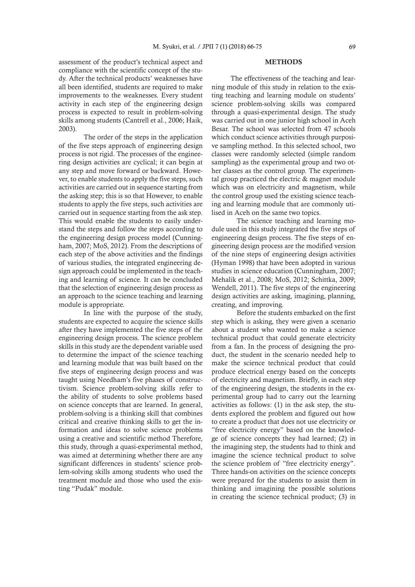assessment of the product's technical aspect and compliance with the scientific concept of the study. After the technical products' weaknesses have all been identified, students are required to make improvements to the weaknesses. Every student activity in each step of the engineering design process is expected to result in problem-solving skills among students (Cantrell et al., 2006; Haik, 2003).

 The order of the steps in the application of the five steps approach of engineering design process is not rigid. The processes of the engineering design activities are cyclical; it can begin at any step and move forward or backward. However, to enable students to apply the five steps, such activities are carried out in sequence starting from the asking step; this is so that However, to enable students to apply the five steps, such activities are carried out in sequence starting from the ask step. This would enable the students to easily understand the steps and follow the steps according to the engineering design process model (Cunningham, 2007; MoS, 2012). From the descriptions of each step of the above activities and the findings of various studies, the integrated engineering design approach could be implemented in the teaching and learning of science. It can be concluded that the selection of engineering design process as an approach to the science teaching and learning module is appropriate.

 In line with the purpose of the study, students are expected to acquire the science skills after they have implemented the five steps of the engineering design process. The science problem skills in this study are the dependent variable used to determine the impact of the science teaching and learning module that was built based on the five steps of engineering design process and was taught using Needham's five phases of constructivism. Science problem-solving skills refer to the ability of students to solve problems based on science concepts that are learned. In general, problem-solving is a thinking skill that combines critical and creative thinking skills to get the information and ideas to solve science problems using a creative and scientific method Therefore, this study, through a quasi-experimental method, was aimed at determining whether there are any significant differences in students' science problem-solving skills among students who used the treatment module and those who used the existing "Pudak" module.

#### METHODS

The effectiveness of the teaching and learning module of this study in relation to the existing teaching and learning module on students' science problem-solving skills was compared through a quasi-experimental design. The study was carried out in one junior high school in Aceh Besar. The school was selected from 47 schools which conduct science activities through purposive sampling method. In this selected school, two classes were randomly selected (simple random sampling) as the experimental group and two other classes as the control group. The experimental group practiced the electric & magnet module which was on electricity and magnetism, while the control group used the existing science teaching and learning module that are commonly utilised in Aceh on the same two topics.

 The science teaching and learning module used in this study integrated the five steps of engineering design process. The five steps of engineering design process are the modified version of the nine steps of engineering design activities (Hyman 1998) that have been adopted in various studies in science education (Cunningham, 2007; Mehalik et al., 2008; MoS, 2012; Schittka, 2009; Wendell, 2011). The five steps of the engineering design activities are asking, imagining, planning, creating, and improving.

 Before the students embarked on the first step which is asking, they were given a scenario about a student who wanted to make a science technical product that could generate electricity from a fan. In the process of designing the product, the student in the scenario needed help to make the science technical product that could produce electrical energy based on the concepts of electricity and magnetism. Briefly, in each step of the engineering design, the students in the experimental group had to carry out the learning activities as follows: (1) in the ask step, the students explored the problem and figured out how to create a product that does not use electricity or "free electricity energy" based on the knowledge of science concepts they had learned; (2) in the imagining step, the students had to think and imagine the science technical product to solve the science problem of "free electricity energy". Three hands-on activities on the science concepts were prepared for the students to assist them in thinking and imagining the possible solutions in creating the science technical product; (3) in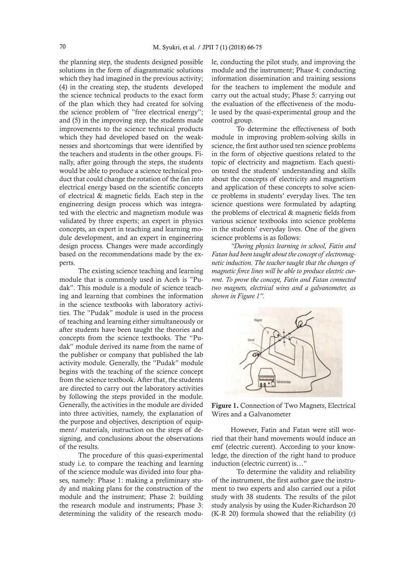the planning step, the students designed possible solutions in the form of diagrammatic solutions which they had imagined in the previous activity; (4) in the creating step, the students developed the science technical products to the exact form of the plan which they had created for solving the science problem of "free electrical energy"; and (5) in the improving step, the students made improvements to the science technical products which they had developed based on the weaknesses and shortcomings that were identified by the teachers and students in the other groups. Finally, after going through the steps, the students would be able to produce a science technical product that could change the rotation of the fan into electrical energy based on the scientific concepts of electrical & magnetic fields. Each step in the engineering design process which was integrated with the electric and magnetism module was validated by three experts; an expert in physics concepts, an expert in teaching and learning module development, and an expert in engineering design process. Changes were made accordingly based on the recommendations made by the experts.

The existing science teaching and learning module that is commonly used in Aceh is "Pudak". This module is a module of science teaching and learning that combines the information in the science textbooks with laboratory activities. The "Pudak" module is used in the process of teaching and learning either simultaneously or after students have been taught the theories and concepts from the science textbooks. The "Pudak" module derived its name from the name of the publisher or company that published the lab activity module. Generally, the "Pudak" module begins with the teaching of the science concept from the science textbook. After that, the students are directed to carry out the laboratory activities by following the steps provided in the module. Generally, the activities in the module are divided into three activities, namely, the explanation of the purpose and objectives, description of equipment/ materials, instruction on the steps of designing, and conclusions about the observations of the results.

The procedure of this quasi-experimental study i.e. to compare the teaching and learning of the science module was divided into four phases, namely: Phase 1: making a preliminary study and making plans for the construction of the module and the instrument; Phase 2: building the research module and instruments; Phase 3: determining the validity of the research module, conducting the pilot study, and improving the module and the instrument; Phase 4: conducting information dissemination and training sessions for the teachers to implement the module and carry out the actual study; Phase 5: carrying out the evaluation of the effectiveness of the module used by the quasi-experimental group and the control group.

 To determine the effectiveness of both module in improving problem-solving skills in science, the first author used ten science problems in the form of objective questions related to the topic of electricity and magnetism. Each question tested the students' understanding and skills about the concepts of electricity and magnetism and application of these concepts to solve science problems in students' everyday lives. The ten science questions were formulated by adapting the problems of electrical & magnetic fields from various science textbooks into science problems in the students' everyday lives. One of the given science problems is as follows:

*"During physics learning in school, Fatin and Fatan had been taught about the concept of electromagnetic induction. The teacher taught that the changes of magnetic force lines will be able to produce electric current. To prove the concept, Fatin and Fatan connected two magnets, electrical wires and a galvanometer, as shown in Figure 1".*



Figure 1. Connection of Two Magnets, Electrical Wires and a Galvanometer

However, Fatin and Fatan were still worried that their hand movements would induce an emf (electric current). According to your knowledge, the direction of the right hand to produce induction (electric current) is…"

 To determine the validity and reliability of the instrument, the first author gave the instrument to two experts and also carried out a pilot study with 38 students. The results of the pilot study analysis by using the Kuder-Richardson 20 (K-R 20) formula showed that the reliability (r)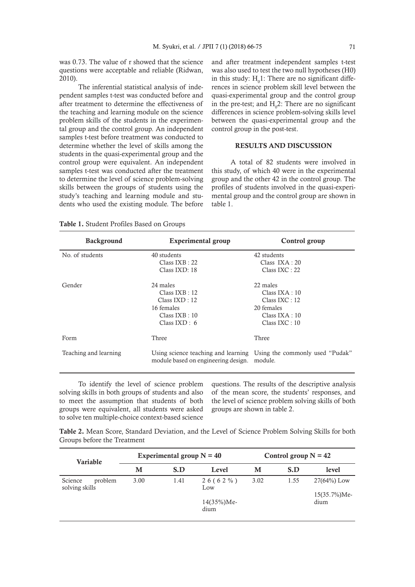was 0.73. The value of r showed that the science questions were acceptable and reliable (Ridwan, 2010).

The inferential statistical analysis of independent samples t-test was conducted before and after treatment to determine the effectiveness of the teaching and learning module on the science problem skills of the students in the experimental group and the control group. An independent samples t-test before treatment was conducted to determine whether the level of skills among the students in the quasi-experimental group and the control group were equivalent. An independent samples t-test was conducted after the treatment to determine the level of science problem-solving skills between the groups of students using the study's teaching and learning module and students who used the existing module. The before

and after treatment independent samples t-test was also used to test the two null hypotheses (H0) in this study:  $H_0 1$ : There are no significant differences in science problem skill level between the quasi-experimental group and the control group in the pre-test; and  $H_0^2$ : There are no significant differences in science problem-solving skills level between the quasi-experimental group and the control group in the post-test.

### RESULTS AND DISCUSSION

A total of 82 students were involved in this study, of which 40 were in the experimental group and the other 42 in the control group. The profiles of students involved in the quasi-experimental group and the control group are shown in table 1.

Table 1. Student Profiles Based on Groups

| <b>Background</b>     | <b>Experimental group</b>                                                                            | Control group                                                                                     |  |  |  |
|-----------------------|------------------------------------------------------------------------------------------------------|---------------------------------------------------------------------------------------------------|--|--|--|
| No. of students       | 40 students                                                                                          | 42 students                                                                                       |  |  |  |
|                       | $Class$ $IXB:22$<br>Class IXD: 18                                                                    | Class $IXA:20$<br>$Class$ IXC : 22                                                                |  |  |  |
| Gender                | 24 males<br>$Class$ $IXB:12$<br>$Class$ $IXD:12$<br>16 females<br>$Class$ $IXB:10$<br>Class $IXD: 6$ | 22 males<br>Class IXA : 10<br>$Class$ $IXC: 12$<br>20 females<br>Class IXA:10<br>$Class$ $IXC:10$ |  |  |  |
| Form                  | Three                                                                                                | Three                                                                                             |  |  |  |
| Teaching and learning | module based on engineering design.                                                                  | Using science teaching and learning Using the commonly used "Pudak"<br>module.                    |  |  |  |

To identify the level of science problem solving skills in both groups of students and also to meet the assumption that students of both groups were equivalent, all students were asked to solve ten multiple-choice context-based science

questions. The results of the descriptive analysis of the mean score, the students' responses, and the level of science problem solving skills of both groups are shown in table 2.

Table 2. Mean Score, Standard Deviation, and the Level of Science Problem Solving Skills for both Groups before the Treatment

| <b>Variable</b>                      |      | Experimental group $N = 40$ |                        | Control group $N = 42$ |      |                          |  |
|--------------------------------------|------|-----------------------------|------------------------|------------------------|------|--------------------------|--|
|                                      | м    | S.D                         | м<br>Level             |                        | S.D  | level                    |  |
| Science<br>problem<br>solving skills | 3.00 | 1.41                        | $26(62\%)$<br>Low      | 3.02                   | 1.55 | $27(64%)$ Low            |  |
|                                      |      |                             | $14(35\%)$ Me-<br>dium |                        |      | $15(35.7\%)$ Me-<br>dium |  |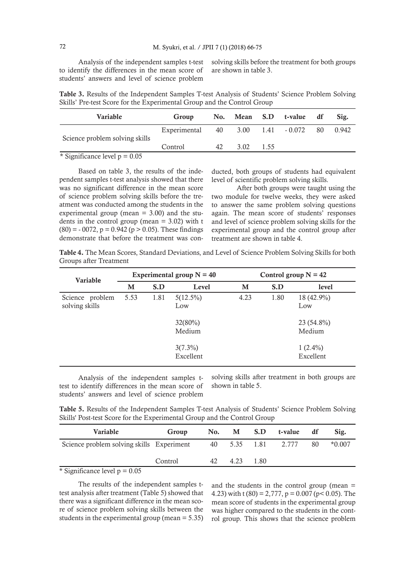Analysis of the independent samples t-test to identify the differences in the mean score of students' answers and level of science problem

solving skills before the treatment for both groups are shown in table 3.

Table 3. Results of the Independent Samples T-test Analysis of Students' Science Problem Solving Skills' Pre-test Score for the Experimental Group and the Control Group

| <b>Variable</b>                 | Group                             |    |      |      | No. Mean S.D t-value df |    | Sig.  |
|---------------------------------|-----------------------------------|----|------|------|-------------------------|----|-------|
| Science problem solving skills  | Experimental 40 3.00 1.41 - 0.072 |    |      |      |                         | 80 | 0.942 |
|                                 | Control                           | 42 | 3.02 | 1.55 |                         |    |       |
| * Significance level $p = 0.05$ |                                   |    |      |      |                         |    |       |

Based on table 3, the results of the independent samples t-test analysis showed that there was no significant difference in the mean score of science problem solving skills before the treatment was conducted among the students in the experimental group (mean = 3.00) and the students in the control group (mean  $= 3.02$ ) with t  $(80) = -0072$ ,  $p = 0.942$  ( $p > 0.05$ ). These findings demonstrate that before the treatment was con-

ducted, both groups of students had equivalent level of scientific problem solving skills.

 After both groups were taught using the two module for twelve weeks, they were asked to answer the same problem solving questions again. The mean score of students' responses and level of science problem solving skills for the experimental group and the control group after treatment are shown in table 4.

Table 4. The Mean Scores, Standard Deviations, and Level of Science Problem Solving Skills for both Groups after Treatment

| <b>Variable</b>                   | Experimental group $N = 40$ |      |                         | Control group $N = 42$ |      |                         |  |  |
|-----------------------------------|-----------------------------|------|-------------------------|------------------------|------|-------------------------|--|--|
|                                   | M                           | S.D  | Level                   | M                      | S.D  | level                   |  |  |
| Science problem<br>solving skills | 5.53                        | 1.81 | $5(12.5\%)$<br>Low      | 4.23                   | 1.80 | 18 (42.9%)<br>Low       |  |  |
|                                   |                             |      | $32(80\%)$<br>Medium    |                        |      | 23 (54.8%)<br>Medium    |  |  |
|                                   |                             |      | $3(7.3\%)$<br>Excellent |                        |      | $1(2.4\%)$<br>Excellent |  |  |

Analysis of the independent samples ttest to identify differences in the mean score of students' answers and level of science problem solving skills after treatment in both groups are shown in table 5.

Table 5. Results of the Independent Samples T-test Analysis of Students' Science Problem Solving Skills' Post-test Score for the Experimental Group and the Control Group

| <b>Variable</b>                           | Group   |    |           | No. M S.D t-value  | df | Sig.     |
|-------------------------------------------|---------|----|-----------|--------------------|----|----------|
| Science problem solving skills Experiment |         |    |           | 40 5.35 1.81 2.777 | 80 | $*0.007$ |
|                                           | Control | 42 | 4.23 1.80 |                    |    |          |
| $*$ Cignificance level $n - 0.05$         |         |    |           |                    |    |          |

Significance level  $p = 0.05$ 

The results of the independent samples ttest analysis after treatment (Table 5) showed that there was a significant difference in the mean score of science problem solving skills between the students in the experimental group (mean = 5.35) and the students in the control group (mean = 4.23) with t  $(80) = 2,777$ ,  $p = 0.007$  ( $p < 0.05$ ). The mean score of students in the experimental group was higher compared to the students in the control group. This shows that the science problem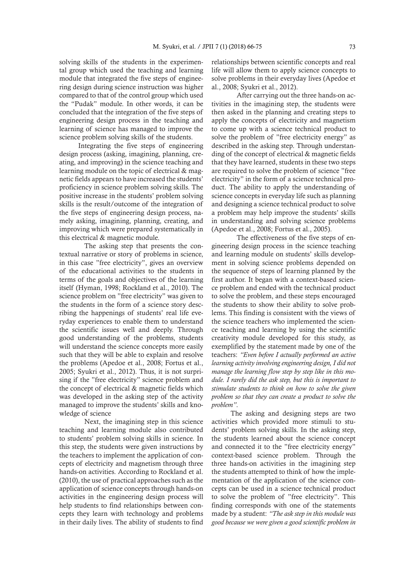solving skills of the students in the experimental group which used the teaching and learning module that integrated the five steps of engineering design during science instruction was higher compared to that of the control group which used the "Pudak" module. In other words, it can be concluded that the integration of the five steps of engineering design process in the teaching and learning of science has managed to improve the science problem solving skills of the students.

Integrating the five steps of engineering design process (asking, imagining, planning, creating, and improving) in the science teaching and learning module on the topic of electrical & magnetic fields appears to have increased the students' proficiency in science problem solving skills. The positive increase in the students' problem solving skills is the result/outcome of the integration of the five steps of engineering design process, namely asking, imagining, planning, creating, and improving which were prepared systematically in this electrical & magnetic module.

 The asking step that presents the contextual narrative or story of problems in science, in this case "free electricity", gives an overview of the educational activities to the students in terms of the goals and objectives of the learning itself (Hyman, 1998; Rockland et al., 2010). The science problem on "free electricity" was given to the students in the form of a science story describing the happenings of students' real life everyday experiences to enable them to understand the scientific issues well and deeply. Through good understanding of the problems, students will understand the science concepts more easily such that they will be able to explain and resolve the problems (Apedoe et al., 2008; Fortus et al., 2005; Syukri et al., 2012). Thus, it is not surprising if the "free electricity" science problem and the concept of electrical & magnetic fields which was developed in the asking step of the activity managed to improve the students' skills and knowledge of science

 Next, the imagining step in this science teaching and learning module also contributed to students' problem solving skills in science. In this step, the students were given instructions by the teachers to implement the application of concepts of electricity and magnetism through three hands-on activities. According to Rockland et al. (2010), the use of practical approaches such as the application of science concepts through hands-on activities in the engineering design process will help students to find relationships between concepts they learn with technology and problems in their daily lives. The ability of students to find relationships between scientific concepts and real life will allow them to apply science concepts to solve problems in their everyday lives (Apedoe et al., 2008; Syukri et al., 2012).

 After carrying out the three hands-on activities in the imagining step, the students were then asked in the planning and creating steps to apply the concepts of electricity and magnetism to come up with a science technical product to solve the problem of "free electricity energy" as described in the asking step. Through understanding of the concept of electrical & magnetic fields that they have learned, students in these two steps are required to solve the problem of science "free electricity" in the form of a science technical product. The ability to apply the understanding of science concepts in everyday life such as planning and designing a science technical product to solve a problem may help improve the students' skills in understanding and solving science problems (Apedoe et al., 2008; Fortus et al., 2005).

 The effectiveness of the five steps of engineering design process in the science teaching and learning module on students' skills development in solving science problems depended on the sequence of steps of learning planned by the first author. It began with a context-based science problem and ended with the technical product to solve the problem, and these steps encouraged the students to show their ability to solve problems. This finding is consistent with the views of the science teachers who implemented the science teaching and learning by using the scientific creativity module developed for this study, as exemplified by the statement made by one of the teachers: *"Even before I actually performed an active learning activity involving engineering design, I did not manage the learning flow step by step like in this module. I rarely did the ask step, but this is important to stimulate students to think on how to solve the given problem so that they can create a product to solve the problem"*.

The asking and designing steps are two activities which provided more stimuli to students' problem solving skills. In the asking step, the students learned about the science concept and connected it to the "free electricity energy" context-based science problem. Through the three hands-on activities in the imagining step the students attempted to think of how the implementation of the application of the science concepts can be used in a science technical product to solve the problem of "free electricity". This finding corresponds with one of the statements made by a student: *"The ask step in this module was good because we were given a good scientific problem in*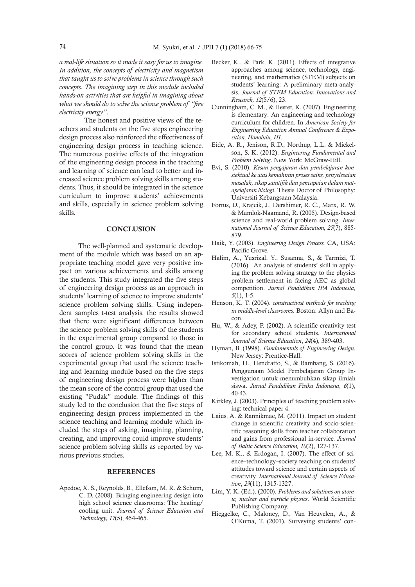*a real-life situation so it made it easy for us to imagine. In addition, the concepts of electricity and magnetism that taught us to solve problems in science through such concepts. The imagining step in this module included hands-on activities that are helpful in imagining about what we should do to solve the science problem of "free electricity energy"*.

 The honest and positive views of the teachers and students on the five steps engineering design process also reinforced the effectiveness of engineering design process in teaching science. The numerous positive effects of the integration of the engineering design process in the teaching and learning of science can lead to better and increased science problem solving skills among students. Thus, it should be integrated in the science curriculum to improve students' achievements and skills, especially in science problem solving skills.

#### **CONCLUSION**

The well-planned and systematic development of the module which was based on an appropriate teaching model gave very positive impact on various achievements and skills among the students. This study integrated the five steps of engineering design process as an approach in students' learning of science to improve students' science problem solving skills. Using independent samples t-test analysis, the results showed that there were significant differences between the science problem solving skills of the students in the experimental group compared to those in the control group. It was found that the mean scores of science problem solving skills in the experimental group that used the science teaching and learning module based on the five steps of engineering design process were higher than the mean score of the control group that used the existing "Pudak" module. The findings of this study led to the conclusion that the five steps of engineering design process implemented in the science teaching and learning module which included the steps of asking, imagining, planning, creating, and improving could improve students' science problem solving skills as reported by various previous studies.

#### **REFERENCES**

Apedoe, X. S., Reynolds, B., Ellefson, M. R. & Schum, C. D. (2008). Bringing engineering design into high school science classrooms: The heating/ cooling unit. *Journal of Science Education and Technology, 17*(5), 454-465.

- Becker, K., & Park, K. (2011). Effects of integrative approaches among science, technology, engineering, and mathematics (STEM) subjects on students' learning: A preliminary meta-analysis. *Journal of STEM Education: Innovations and Research, 12*(5/6), 23.
- Cunningham, C. M., & Hester, K. (2007). Engineering is elementary: An engineering and technology curriculum for children. In *American Society for Engineering Education Annual Conference & Exposition, Honolulu, HI*.
- Eide, A. R., Jenison, R.D., Northup, L.L. & Mickelson, S. K. (2012). *Engineering Fundamental and Problem Solving*. New York: McGraw-Hill.
- Evi, S. (2010). *Kesan pengajaran dan pembelajaran konstektual ke atas kemahiran proses sains, penyelesaian masalah, sikap saintifik dan pencapaian dalam matapelajaran biologi*. Thesis Doctor of Philosophy: Universiti Kebangsaan Malaysia.
- Fortus, D., Krajcik, J., Dershimer, R. C., Marx, R. W. & Mamlok-Naamand, R. (2005). Design-based science and real-world problem solving. *International Journal of Science Education, 27*(7), 885- 879.
- Haik, Y. (2003). *Engineering Design Process.* CA, USA: Pacific Grove.
- Halim, A., Yusrizal, Y., Susanna, S., & Tarmizi, T. (2016). An analysis of students' skill in applying the problem solving strategy to the physics problem settlement in facing AEC as global competition. *Jurnal Pendidikan IPA Indonesia*, *5*(1), 1-5.
- Henson, K. T. (2004). *constructivist methods for teaching in middle-level classrooms*. Boston: Allyn and Bacon.
- Hu, W., & Adey, P. (2002). A scientific creativity test for secondary school students. *International Journal of Science Education*, *24*(4), 389-403.
- Hyman, B. (1998). *Fundamentals of Engineering Design*. New Jersey: Prentice-Hall.
- Istikomah, H., Hendratto, S., & Bambang, S. (2016). Penggunaan Model Pembelajaran Group Investigation untuk menumbuhkan sikap ilmiah siswa. *Jurnal Pendidikan Fisika Indonesia*, *6*(1), 40-43.
- Kirkley, J. (2003). Principles of teaching problem solving: technical paper 4.
- Laius, A. & Rannikmae, M. (2011). Impact on student change in scientific creativity and socio-scientific reasoning skills from teacher collaboration and gains from professional in-service. *Journal of Baltic Science Education, 10*(2), 127-137.
- Lee, M. K., & Erdogan, I. (2007). The effect of science–technology–society teaching on students' attitudes toward science and certain aspects of creativity. *International Journal of Science Education*, *29*(11), 1315-1327.
- Lim, Y. K. (Ed.). (2000). *Problems and solutions on atomic, nuclear and particle physics*. World Scientific Publishing Company.
- Hieggelke, C., Maloney, D., Van Heuvelen, A., & O'Kuma, T. (2001). Surveying students' con-